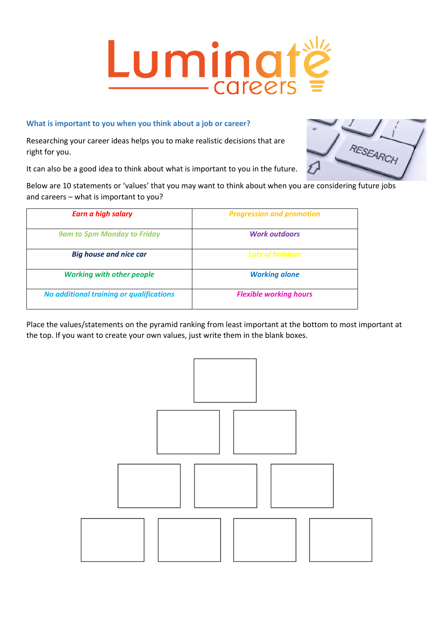# Luming -careers

# **What is important to you when you think about a job or career?**

Researching your career ideas helps you to make realistic decisions that are right for you.

It can also be a good idea to think about what is important to you in the future.

Below are 10 statements or 'values' that you may want to think about when you are considering future jobs and careers – what is important to you?

| <b>Earn a high salary</b>                | <b>Progression and promotion</b> |
|------------------------------------------|----------------------------------|
| <b>9am to 5pm Monday to Friday</b>       | <b>Work outdoors</b>             |
| <b>Big house and nice car</b>            | <b>Lots of holidays</b>          |
| <b>Working with other people</b>         | <b>Working alone</b>             |
| No additional training or qualifications | <b>Flexible working hours</b>    |

Place the values/statements on the pyramid ranking from least important at the bottom to most important at the top. If you want to create your own values, just write them in the blank boxes.



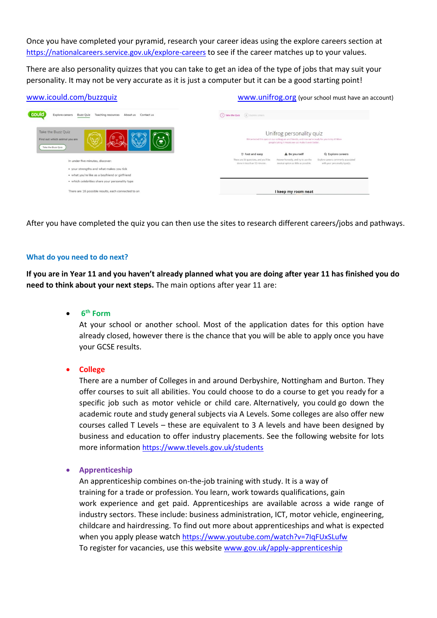Once you have completed your pyramid, research your career ideas using the explore careers section at <https://nationalcareers.service.gov.uk/explore-careers> to see if the career matches up to your values.

There are also personality quizzes that you can take to get an idea of the type of jobs that may suit your personality. It may not be very accurate as it is just a computer but it can be a good starting point!

| www.unifrog.org (your school must have an account)                                                                                                                                                                              |  |  |
|---------------------------------------------------------------------------------------------------------------------------------------------------------------------------------------------------------------------------------|--|--|
| (1) Take the Quiz (2) Explore careers                                                                                                                                                                                           |  |  |
| Unifrog personality quiz<br>We've tested this quiz on our colleagues and friends, and now we're ready for you to try it! More<br>people taking it means we can make it even better.                                             |  |  |
| Q Explore careers<br><b><i>C</i></b> Fast and easy<br>A Be yourself                                                                                                                                                             |  |  |
| There are 56 questions, and you'll be<br>Answer honestly, and try to use the<br>Explore careers commonly associated<br>done in less than 12 minutes.<br>neutral option as little as possible.<br>with your personality type(s). |  |  |
|                                                                                                                                                                                                                                 |  |  |
|                                                                                                                                                                                                                                 |  |  |
|                                                                                                                                                                                                                                 |  |  |
| I keep my room neat                                                                                                                                                                                                             |  |  |
|                                                                                                                                                                                                                                 |  |  |

After you have completed the quiz you can then use the sites to research different careers/jobs and pathways.

#### **What do you need to do next?**

**If you are in Year 11 and you haven't already planned what you are doing after year 11 has finished you do need to think about your next steps.** The main options after year 11 are:

• **6 th Form**

At your school or another school. Most of the application dates for this option have already closed, however there is the chance that you will be able to apply once you have your GCSE results.

• **College**

There are a number of Colleges in and around Derbyshire, Nottingham and Burton. They offer courses to suit all abilities. You could choose to do a course to get you ready for a specific job such as motor vehicle or child care. Alternatively, you could go down the academic route and study general subjects via A Levels. Some colleges are also offer new courses called T Levels – these are equivalent to 3 A levels and have been designed by business and education to offer industry placements. See the following website for lots more information <https://www.tlevels.gov.uk/students>

#### • **Apprenticeship**

An apprenticeship combines on-the-job training with study. It is a way of training for a trade or profession. You learn, work towards qualifications, gain work experience and get paid. Apprenticeships are available across a wide range of industry sectors. These include: business administration, ICT, motor vehicle, engineering, childcare and hairdressing. To find out more about apprenticeships and what is expected when you apply please watch <https://www.youtube.com/watch?v=7IqFUxSLufw> To register for vacancies, use this website [www.gov.uk/apply-apprenticeship](http://www.gov.uk/apply-apprenticeship)